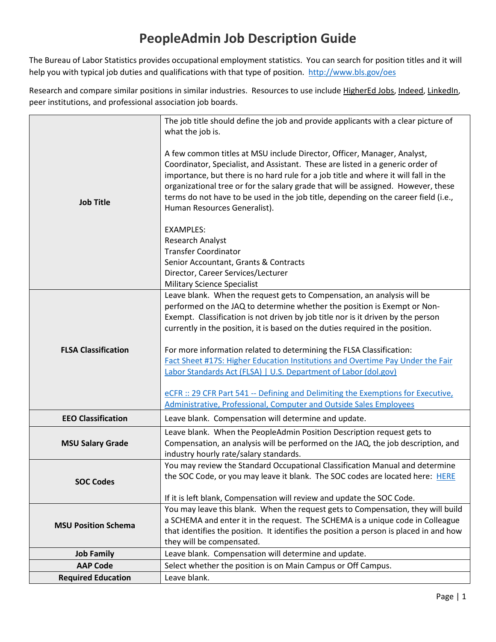## **PeopleAdmin Job Description Guide**

The Bureau of Labor Statistics provides occupational employment statistics. You can search for position titles and it will help you with typical job duties and qualifications with that type of position. <http://www.bls.gov/oes>

Research and compare similar positions in similar industries. Resources to use includ[e HigherEd Jobs,](https://www.higheredjobs.com/?locale=en_US) [Indeed,](https://www.indeed.com/) [LinkedIn,](https://www.lindedin.com/) peer institutions, and professional association job boards.

|                            | The job title should define the job and provide applicants with a clear picture of<br>what the job is.                                                                                                                                                                                                                                                                                                                                                       |
|----------------------------|--------------------------------------------------------------------------------------------------------------------------------------------------------------------------------------------------------------------------------------------------------------------------------------------------------------------------------------------------------------------------------------------------------------------------------------------------------------|
| <b>Job Title</b>           |                                                                                                                                                                                                                                                                                                                                                                                                                                                              |
|                            | A few common titles at MSU include Director, Officer, Manager, Analyst,<br>Coordinator, Specialist, and Assistant. These are listed in a generic order of<br>importance, but there is no hard rule for a job title and where it will fall in the<br>organizational tree or for the salary grade that will be assigned. However, these<br>terms do not have to be used in the job title, depending on the career field (i.e.,<br>Human Resources Generalist). |
|                            | <b>EXAMPLES:</b>                                                                                                                                                                                                                                                                                                                                                                                                                                             |
|                            | Research Analyst                                                                                                                                                                                                                                                                                                                                                                                                                                             |
|                            | <b>Transfer Coordinator</b>                                                                                                                                                                                                                                                                                                                                                                                                                                  |
|                            | Senior Accountant, Grants & Contracts                                                                                                                                                                                                                                                                                                                                                                                                                        |
|                            | Director, Career Services/Lecturer                                                                                                                                                                                                                                                                                                                                                                                                                           |
|                            | <b>Military Science Specialist</b>                                                                                                                                                                                                                                                                                                                                                                                                                           |
|                            | Leave blank. When the request gets to Compensation, an analysis will be                                                                                                                                                                                                                                                                                                                                                                                      |
|                            | performed on the JAQ to determine whether the position is Exempt or Non-                                                                                                                                                                                                                                                                                                                                                                                     |
|                            | Exempt. Classification is not driven by job title nor is it driven by the person                                                                                                                                                                                                                                                                                                                                                                             |
|                            | currently in the position, it is based on the duties required in the position.                                                                                                                                                                                                                                                                                                                                                                               |
| <b>FLSA Classification</b> | For more information related to determining the FLSA Classification:                                                                                                                                                                                                                                                                                                                                                                                         |
|                            | Fact Sheet #17S: Higher Education Institutions and Overtime Pay Under the Fair                                                                                                                                                                                                                                                                                                                                                                               |
|                            | Labor Standards Act (FLSA)   U.S. Department of Labor (dol.gov)                                                                                                                                                                                                                                                                                                                                                                                              |
|                            |                                                                                                                                                                                                                                                                                                                                                                                                                                                              |
|                            | eCFR: 29 CFR Part 541 -- Defining and Delimiting the Exemptions for Executive,                                                                                                                                                                                                                                                                                                                                                                               |
|                            | Administrative, Professional, Computer and Outside Sales Employees                                                                                                                                                                                                                                                                                                                                                                                           |
| <b>EEO Classification</b>  | Leave blank. Compensation will determine and update.                                                                                                                                                                                                                                                                                                                                                                                                         |
|                            | Leave blank. When the PeopleAdmin Position Description request gets to                                                                                                                                                                                                                                                                                                                                                                                       |
| <b>MSU Salary Grade</b>    | Compensation, an analysis will be performed on the JAQ, the job description, and                                                                                                                                                                                                                                                                                                                                                                             |
|                            | industry hourly rate/salary standards.                                                                                                                                                                                                                                                                                                                                                                                                                       |
|                            | You may review the Standard Occupational Classification Manual and determine                                                                                                                                                                                                                                                                                                                                                                                 |
| <b>SOC Codes</b>           | the SOC Code, or you may leave it blank. The SOC codes are located here: HERE                                                                                                                                                                                                                                                                                                                                                                                |
|                            | If it is left blank, Compensation will review and update the SOC Code.                                                                                                                                                                                                                                                                                                                                                                                       |
|                            | You may leave this blank. When the request gets to Compensation, they will build                                                                                                                                                                                                                                                                                                                                                                             |
| <b>MSU Position Schema</b> | a SCHEMA and enter it in the request. The SCHEMA is a unique code in Colleague                                                                                                                                                                                                                                                                                                                                                                               |
|                            | that identifies the position. It identifies the position a person is placed in and how                                                                                                                                                                                                                                                                                                                                                                       |
|                            | they will be compensated.                                                                                                                                                                                                                                                                                                                                                                                                                                    |
| <b>Job Family</b>          | Leave blank. Compensation will determine and update.                                                                                                                                                                                                                                                                                                                                                                                                         |
| <b>AAP Code</b>            | Select whether the position is on Main Campus or Off Campus.                                                                                                                                                                                                                                                                                                                                                                                                 |
| <b>Required Education</b>  | Leave blank.                                                                                                                                                                                                                                                                                                                                                                                                                                                 |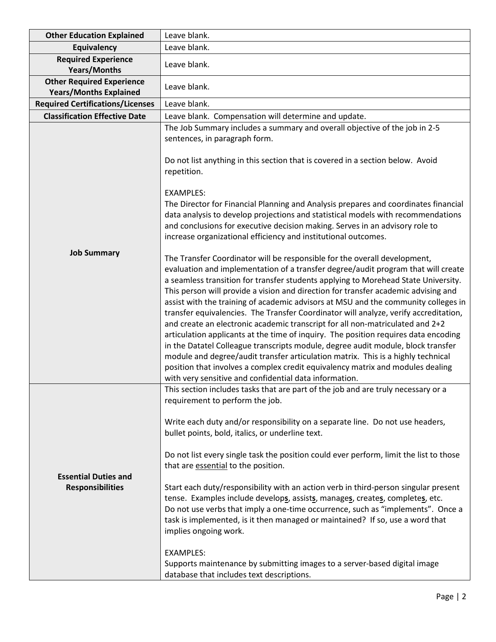| <b>Other Education Explained</b>                                  | Leave blank.                                                                                                                                                                                                                                                                                                                                                                                                                                                                                                                                                                                                                                                                                                                                                                                                                                                                                                                                                                                                                                                                                                                                                                                                                                                                                                                                                                                                                                                                                                                |
|-------------------------------------------------------------------|-----------------------------------------------------------------------------------------------------------------------------------------------------------------------------------------------------------------------------------------------------------------------------------------------------------------------------------------------------------------------------------------------------------------------------------------------------------------------------------------------------------------------------------------------------------------------------------------------------------------------------------------------------------------------------------------------------------------------------------------------------------------------------------------------------------------------------------------------------------------------------------------------------------------------------------------------------------------------------------------------------------------------------------------------------------------------------------------------------------------------------------------------------------------------------------------------------------------------------------------------------------------------------------------------------------------------------------------------------------------------------------------------------------------------------------------------------------------------------------------------------------------------------|
| Equivalency                                                       | Leave blank.                                                                                                                                                                                                                                                                                                                                                                                                                                                                                                                                                                                                                                                                                                                                                                                                                                                                                                                                                                                                                                                                                                                                                                                                                                                                                                                                                                                                                                                                                                                |
| <b>Required Experience</b><br><b>Years/Months</b>                 | Leave blank.                                                                                                                                                                                                                                                                                                                                                                                                                                                                                                                                                                                                                                                                                                                                                                                                                                                                                                                                                                                                                                                                                                                                                                                                                                                                                                                                                                                                                                                                                                                |
| <b>Other Required Experience</b><br><b>Years/Months Explained</b> | Leave blank.                                                                                                                                                                                                                                                                                                                                                                                                                                                                                                                                                                                                                                                                                                                                                                                                                                                                                                                                                                                                                                                                                                                                                                                                                                                                                                                                                                                                                                                                                                                |
| <b>Required Certifications/Licenses</b>                           | Leave blank.                                                                                                                                                                                                                                                                                                                                                                                                                                                                                                                                                                                                                                                                                                                                                                                                                                                                                                                                                                                                                                                                                                                                                                                                                                                                                                                                                                                                                                                                                                                |
| <b>Classification Effective Date</b>                              | Leave blank. Compensation will determine and update.                                                                                                                                                                                                                                                                                                                                                                                                                                                                                                                                                                                                                                                                                                                                                                                                                                                                                                                                                                                                                                                                                                                                                                                                                                                                                                                                                                                                                                                                        |
| <b>Job Summary</b>                                                | The Job Summary includes a summary and overall objective of the job in 2-5<br>sentences, in paragraph form.<br>Do not list anything in this section that is covered in a section below. Avoid<br>repetition.<br><b>EXAMPLES:</b><br>The Director for Financial Planning and Analysis prepares and coordinates financial<br>data analysis to develop projections and statistical models with recommendations<br>and conclusions for executive decision making. Serves in an advisory role to<br>increase organizational efficiency and institutional outcomes.<br>The Transfer Coordinator will be responsible for the overall development,<br>evaluation and implementation of a transfer degree/audit program that will create<br>a seamless transition for transfer students applying to Morehead State University.<br>This person will provide a vision and direction for transfer academic advising and<br>assist with the training of academic advisors at MSU and the community colleges in<br>transfer equivalencies. The Transfer Coordinator will analyze, verify accreditation,<br>and create an electronic academic transcript for all non-matriculated and 2+2<br>articulation applicants at the time of inquiry. The position requires data encoding<br>in the Datatel Colleague transcripts module, degree audit module, block transfer<br>module and degree/audit transfer articulation matrix. This is a highly technical<br>position that involves a complex credit equivalency matrix and modules dealing |
| <b>Essential Duties and</b><br><b>Responsibilities</b>            | with very sensitive and confidential data information.<br>This section includes tasks that are part of the job and are truly necessary or a<br>requirement to perform the job.<br>Write each duty and/or responsibility on a separate line. Do not use headers,<br>bullet points, bold, italics, or underline text.<br>Do not list every single task the position could ever perform, limit the list to those<br>that are essential to the position.<br>Start each duty/responsibility with an action verb in third-person singular present<br>tense. Examples include develops, assists, manages, creates, completes, etc.<br>Do not use verbs that imply a one-time occurrence, such as "implements". Once a<br>task is implemented, is it then managed or maintained? If so, use a word that<br>implies ongoing work.<br><b>EXAMPLES:</b><br>Supports maintenance by submitting images to a server-based digital image<br>database that includes text descriptions.                                                                                                                                                                                                                                                                                                                                                                                                                                                                                                                                                      |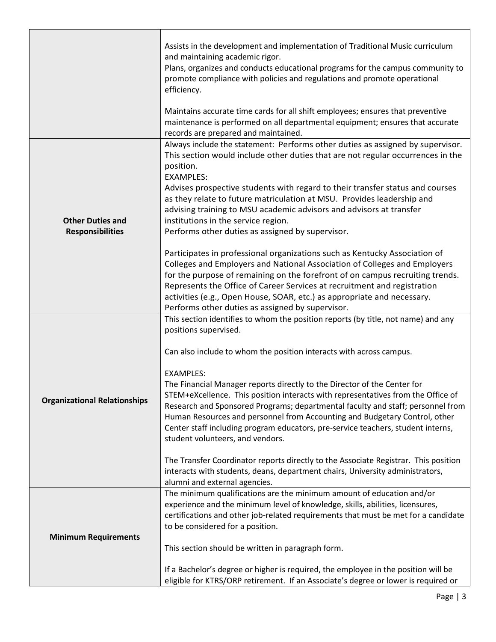|                                                    | Assists in the development and implementation of Traditional Music curriculum<br>and maintaining academic rigor.<br>Plans, organizes and conducts educational programs for the campus community to<br>promote compliance with policies and regulations and promote operational<br>efficiency.<br>Maintains accurate time cards for all shift employees; ensures that preventive                                                                                                                                                                                                                                                                                                                                                                                                                                                                                         |
|----------------------------------------------------|-------------------------------------------------------------------------------------------------------------------------------------------------------------------------------------------------------------------------------------------------------------------------------------------------------------------------------------------------------------------------------------------------------------------------------------------------------------------------------------------------------------------------------------------------------------------------------------------------------------------------------------------------------------------------------------------------------------------------------------------------------------------------------------------------------------------------------------------------------------------------|
|                                                    | maintenance is performed on all departmental equipment; ensures that accurate<br>records are prepared and maintained.                                                                                                                                                                                                                                                                                                                                                                                                                                                                                                                                                                                                                                                                                                                                                   |
| <b>Other Duties and</b><br><b>Responsibilities</b> | Always include the statement: Performs other duties as assigned by supervisor.<br>This section would include other duties that are not regular occurrences in the<br>position.<br><b>EXAMPLES:</b><br>Advises prospective students with regard to their transfer status and courses<br>as they relate to future matriculation at MSU. Provides leadership and<br>advising training to MSU academic advisors and advisors at transfer<br>institutions in the service region.<br>Performs other duties as assigned by supervisor.                                                                                                                                                                                                                                                                                                                                         |
|                                                    | Participates in professional organizations such as Kentucky Association of<br>Colleges and Employers and National Association of Colleges and Employers<br>for the purpose of remaining on the forefront of on campus recruiting trends.<br>Represents the Office of Career Services at recruitment and registration<br>activities (e.g., Open House, SOAR, etc.) as appropriate and necessary.<br>Performs other duties as assigned by supervisor.                                                                                                                                                                                                                                                                                                                                                                                                                     |
| <b>Organizational Relationships</b>                | This section identifies to whom the position reports (by title, not name) and any<br>positions supervised.<br>Can also include to whom the position interacts with across campus.<br><b>EXAMPLES:</b><br>The Financial Manager reports directly to the Director of the Center for<br>STEM+eXcellence. This position interacts with representatives from the Office of<br>Research and Sponsored Programs; departmental faculty and staff; personnel from<br>Human Resources and personnel from Accounting and Budgetary Control, other<br>Center staff including program educators, pre-service teachers, student interns,<br>student volunteers, and vendors.<br>The Transfer Coordinator reports directly to the Associate Registrar. This position<br>interacts with students, deans, department chairs, University administrators,<br>alumni and external agencies. |
| <b>Minimum Requirements</b>                        | The minimum qualifications are the minimum amount of education and/or<br>experience and the minimum level of knowledge, skills, abilities, licensures,<br>certifications and other job-related requirements that must be met for a candidate<br>to be considered for a position.<br>This section should be written in paragraph form.<br>If a Bachelor's degree or higher is required, the employee in the position will be<br>eligible for KTRS/ORP retirement. If an Associate's degree or lower is required or                                                                                                                                                                                                                                                                                                                                                       |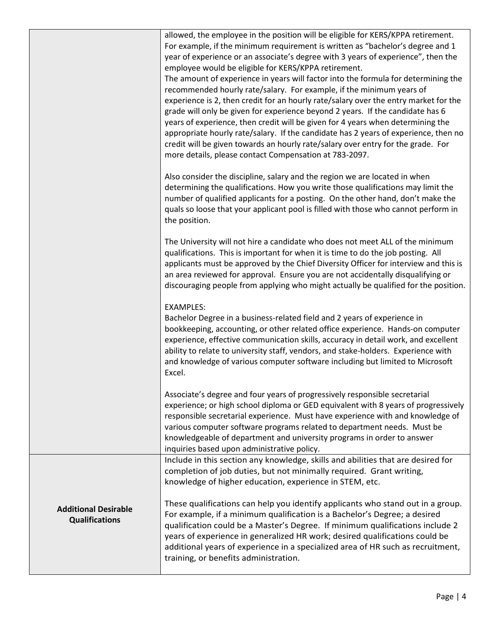|                                                      | allowed, the employee in the position will be eligible for KERS/KPPA retirement.<br>For example, if the minimum requirement is written as "bachelor's degree and 1<br>year of experience or an associate's degree with 3 years of experience", then the<br>employee would be eligible for KERS/KPPA retirement.<br>The amount of experience in years will factor into the formula for determining the<br>recommended hourly rate/salary. For example, if the minimum years of<br>experience is 2, then credit for an hourly rate/salary over the entry market for the<br>grade will only be given for experience beyond 2 years. If the candidate has 6<br>years of experience, then credit will be given for 4 years when determining the<br>appropriate hourly rate/salary. If the candidate has 2 years of experience, then no<br>credit will be given towards an hourly rate/salary over entry for the grade. For<br>more details, please contact Compensation at 783-2097. |
|------------------------------------------------------|---------------------------------------------------------------------------------------------------------------------------------------------------------------------------------------------------------------------------------------------------------------------------------------------------------------------------------------------------------------------------------------------------------------------------------------------------------------------------------------------------------------------------------------------------------------------------------------------------------------------------------------------------------------------------------------------------------------------------------------------------------------------------------------------------------------------------------------------------------------------------------------------------------------------------------------------------------------------------------|
|                                                      | Also consider the discipline, salary and the region we are located in when<br>determining the qualifications. How you write those qualifications may limit the<br>number of qualified applicants for a posting. On the other hand, don't make the<br>quals so loose that your applicant pool is filled with those who cannot perform in<br>the position.                                                                                                                                                                                                                                                                                                                                                                                                                                                                                                                                                                                                                        |
|                                                      | The University will not hire a candidate who does not meet ALL of the minimum<br>qualifications. This is important for when it is time to do the job posting. All<br>applicants must be approved by the Chief Diversity Officer for interview and this is<br>an area reviewed for approval. Ensure you are not accidentally disqualifying or<br>discouraging people from applying who might actually be qualified for the position.                                                                                                                                                                                                                                                                                                                                                                                                                                                                                                                                             |
|                                                      | <b>EXAMPLES:</b><br>Bachelor Degree in a business-related field and 2 years of experience in<br>bookkeeping, accounting, or other related office experience. Hands-on computer<br>experience, effective communication skills, accuracy in detail work, and excellent<br>ability to relate to university staff, vendors, and stake-holders. Experience with<br>and knowledge of various computer software including but limited to Microsoft<br>Excel.                                                                                                                                                                                                                                                                                                                                                                                                                                                                                                                           |
|                                                      | Associate's degree and four years of progressively responsible secretarial<br>experience; or high school diploma or GED equivalent with 8 years of progressively<br>responsible secretarial experience. Must have experience with and knowledge of<br>various computer software programs related to department needs. Must be<br>knowledgeable of department and university programs in order to answer<br>inquiries based upon administrative policy.                                                                                                                                                                                                                                                                                                                                                                                                                                                                                                                          |
|                                                      | Include in this section any knowledge, skills and abilities that are desired for<br>completion of job duties, but not minimally required. Grant writing,<br>knowledge of higher education, experience in STEM, etc.                                                                                                                                                                                                                                                                                                                                                                                                                                                                                                                                                                                                                                                                                                                                                             |
| <b>Additional Desirable</b><br><b>Qualifications</b> | These qualifications can help you identify applicants who stand out in a group.<br>For example, if a minimum qualification is a Bachelor's Degree; a desired<br>qualification could be a Master's Degree. If minimum qualifications include 2<br>years of experience in generalized HR work; desired qualifications could be<br>additional years of experience in a specialized area of HR such as recruitment,<br>training, or benefits administration.                                                                                                                                                                                                                                                                                                                                                                                                                                                                                                                        |